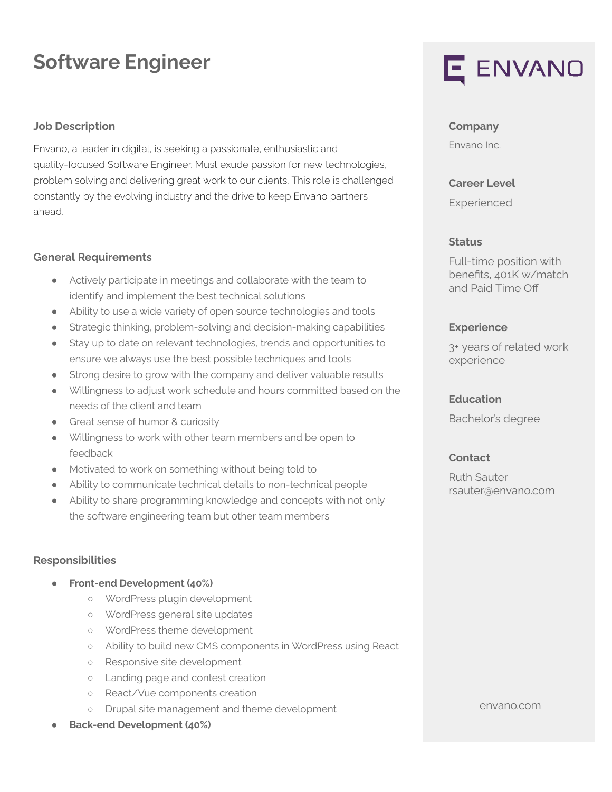# **Software Engineer**

## **Job Description**

Envano, a leader in digital, is seeking a passionate, enthusiastic and quality-focused Software Engineer. Must exude passion for new technologies, problem solving and delivering great work to our clients. This role is challenged constantly by the evolving industry and the drive to keep Envano partners ahead.

#### **General Requirements**

- Actively participate in meetings and collaborate with the team to identify and implement the best technical solutions
- Ability to use a wide variety of open source technologies and tools
- Strategic thinking, problem-solving and decision-making capabilities
- Stay up to date on relevant technologies, trends and opportunities to ensure we always use the best possible techniques and tools
- Strong desire to grow with the company and deliver valuable results
- Willingness to adjust work schedule and hours committed based on the needs of the client and team
- Great sense of humor & curiosity
- Willingness to work with other team members and be open to feedback
- Motivated to work on something without being told to
- Ability to communicate technical details to non-technical people
- Ability to share programming knowledge and concepts with not only the software engineering team but other team members

# **Responsibilities**

- **● Front-end Development (40%)**
	- WordPress plugin development
	- WordPress general site updates
	- WordPress theme development
	- Ability to build new CMS components in WordPress using React
	- Responsive site development
	- Landing page and contest creation
	- React/Vue components creation
	- Drupal site management and theme development
- **● Back-end Development (40%)**



# **Company**

Envano Inc.

#### **Career Level**

Experienced

## **Status**

Full-time position with benefits, 401K w/match and Paid Time Off

# **Experience**

3+ years of related work experience

#### **Education**

Bachelor's degree

# **Contact**

Ruth Sauter rsauter@envano.com

envano.com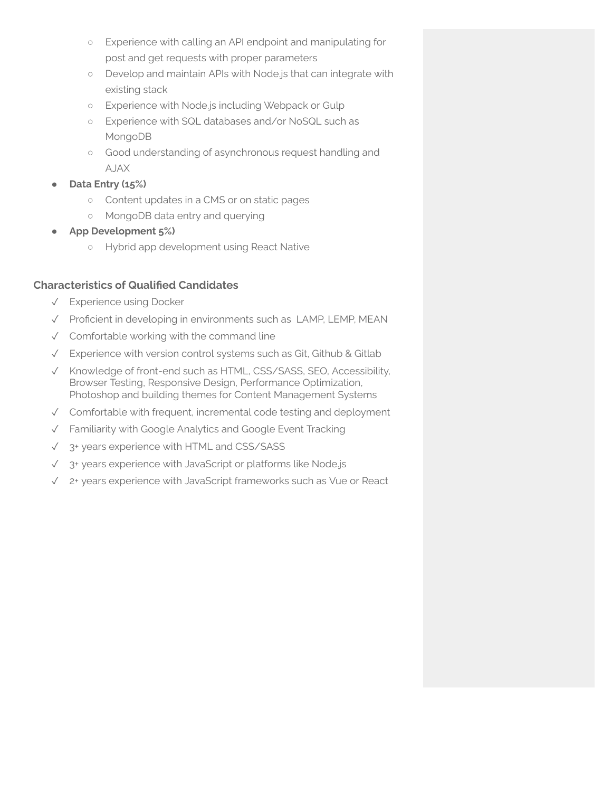- Experience with calling an API endpoint and manipulating for post and get requests with proper parameters
- Develop and maintain APIs with Node.js that can integrate with existing stack
- Experience with Node.js including Webpack or Gulp
- Experience with SQL databases and/or NoSQL such as MongoDB
- Good understanding of asynchronous request handling and AJAX
- **Data Entry (15%)**
	- Content updates in a CMS or on static pages
	- MongoDB data entry and querying
- **● App Development 5%)**
	- Hybrid app development using React Native

# **Characteristics of Qualified Candidates**

- ✓ Experience using Docker
- ✓ Proficient in developing in environments such as LAMP, LEMP, MEAN
- ✓ Comfortable working with the command line
- ✓ Experience with version control systems such as Git, Github & Gitlab
- ✓ Knowledge of front-end such as HTML, CSS/SASS, SEO, Accessibility, Browser Testing, Responsive Design, Performance Optimization, Photoshop and building themes for Content Management Systems
- ✓ Comfortable with frequent, incremental code testing and deployment
- ✓ Familiarity with Google Analytics and Google Event Tracking
- ✓ 3+ years experience with HTML and CSS/SASS
- ✓ 3+ years experience with JavaScript or platforms like Node.js
- ✓ 2+ years experience with JavaScript frameworks such as Vue or React